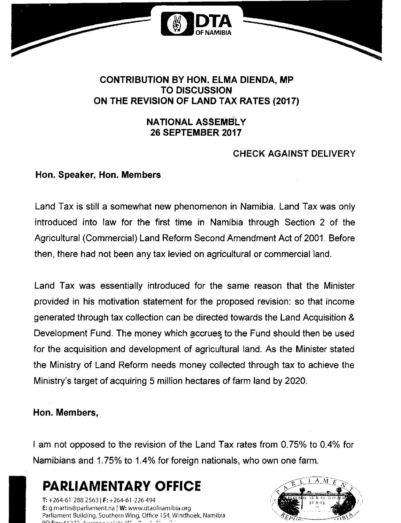

### **CONTRIBUTION BY HON. ELMA DIENDA, MP TO DISCUSSION ON THE REVISION OF LAND TAX RATES (2017)**

### **NATIONAL ASSEMBLY 26 SEPTEMBER 2017**

# **CHECK AGAINST DELIVERY**

## **Hon. Speaker, Hon. Members**

Land Tax is still a somewhat new phenomenon in Namibia. Land Tax was only introduced into law for the first time in Namibia through Section 2 of the Agricultural (Commercial) Land Reform Second Amendment Act of 2001. Before then, there had not been any tax levied on agricultural or commercial land.

Land Tax was essentially introduced for the same reason that the Minister provided in his motivation statement for the proposed revision: so that income generated through tax collection can be directed towards the Land Acquisition & Development Fund. The money which accrues to the Fund should then be used for the acquisition and development of agricultural land. As the Minister stated the Ministry of Land Reform needs money collected through tax to achieve the Ministry's target of acquiring 5 million hectares of farm land by 2020.

# **Hon. Members,**

I am not opposed to the revision of the Land Tax rates from 0.75% to 0.4% for Namibians and 1.75% to 1.4% for foreign nationals, who own one farm.

**PARLIAMENTARY OFFICE**

T: +264-61-288 2563 I F: +264-61-226 494 E:[g.martin@parliament.na](mailto:g.martin@parliament.na) <sup>j</sup> W: [www.dtaofnarnibia.org](http://www.dtaofnarnibia.org) Parliament Building, Southern Wing, Office 154, Windhoek, Namibia

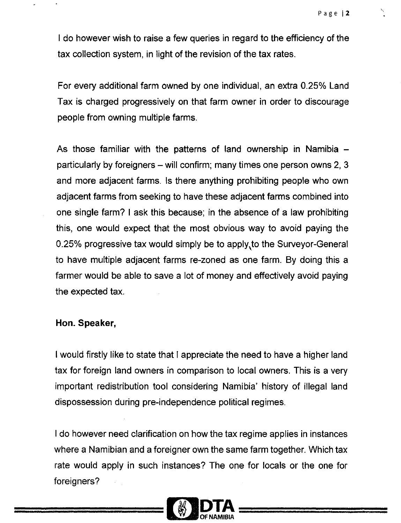I do however wish to raise a few queries in regard to the efficiency of the tax collection system, in light of the revision of the tax rates.

For every additional farm owned by one individual, an extra 0.25% Land Tax is charged progressively on that farm owner in order to discourage people from owning multiple farms.

As those familiar with the patterns of land ownership in Namibia  $$ particularly by foreigners  $-$  will confirm; many times one person owns 2, 3 and more adjacent farms. Is there anything prohibiting people who own adjacent farms from seeking to have these adjacent farms combined into one single farm? I ask this because; in the absence of a law prohibiting this, one would expect that the most obvious way to avoid paying the 0.25% progressive tax would simply be to apply.to the Surveyor-General to have multiple adjacent farms re-zoned as one farm. By doing this a farmer would be able to save a lot of money and effectively avoid paying the expected tax.

#### **Hon. Speaker,**

I would firstly like to state that I appreciate the need to have a higher land tax for foreign land owners in comparison to local owners. This is a very important redistribution tool considering Namibia' history of illegal land dispossession during pre-independence political regimes.

I do however need clarification on how the tax regime applies in instances where a Namibian and a foreigner own the same farm together. Which tax rate would apply in such instances? The one for locals or the one for foreigners?

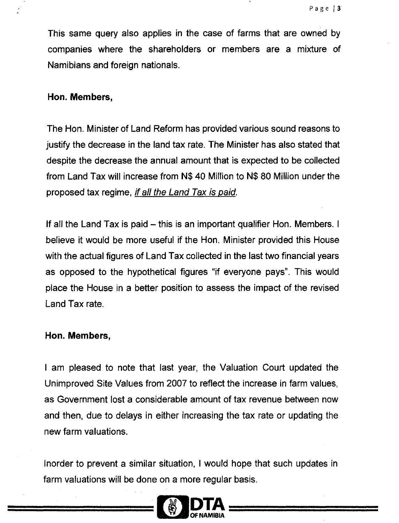This same query also applies in the case of farms that are owned by companies where the shareholders or members are a mixture of Namibians and foreign nationals.

#### **Hon. Members,**

The Hon. Minister of Land Reform has provided various sound reasons to justify the decrease in the land tax rate. The Minister has also stated that despite the decrease the annual amount that is expected to be collected from Land Tax will increase from N\$ 40 Million to N\$ 80 Million under the proposed tax regime, *if all the Land Tax is paid.*

If all the Land Tax is paid – this is an important qualifier Hon. Members. I believe it would be more useful if the Hon. Minister provided this House with the actual figures of Land Tax collected in the last two financial years as opposed to the hypothetical figures "if everyone pays". This would place the House in a better position to assess the impact of the revised Land Tax rate.

### **Hon. Members,**

I am pleased to note that last year, the Valuation Court updated the Unimproved Site Values from 2007 to reflect the increase in farm values, as Government lost a considerable amount of tax revenue between now and then, due to delays in either increasing the tax rate or updating the new farm valuations.

Inorder to prevent a similar situation, I would hope that such updates in farm valuations will be done on a more regular basis.